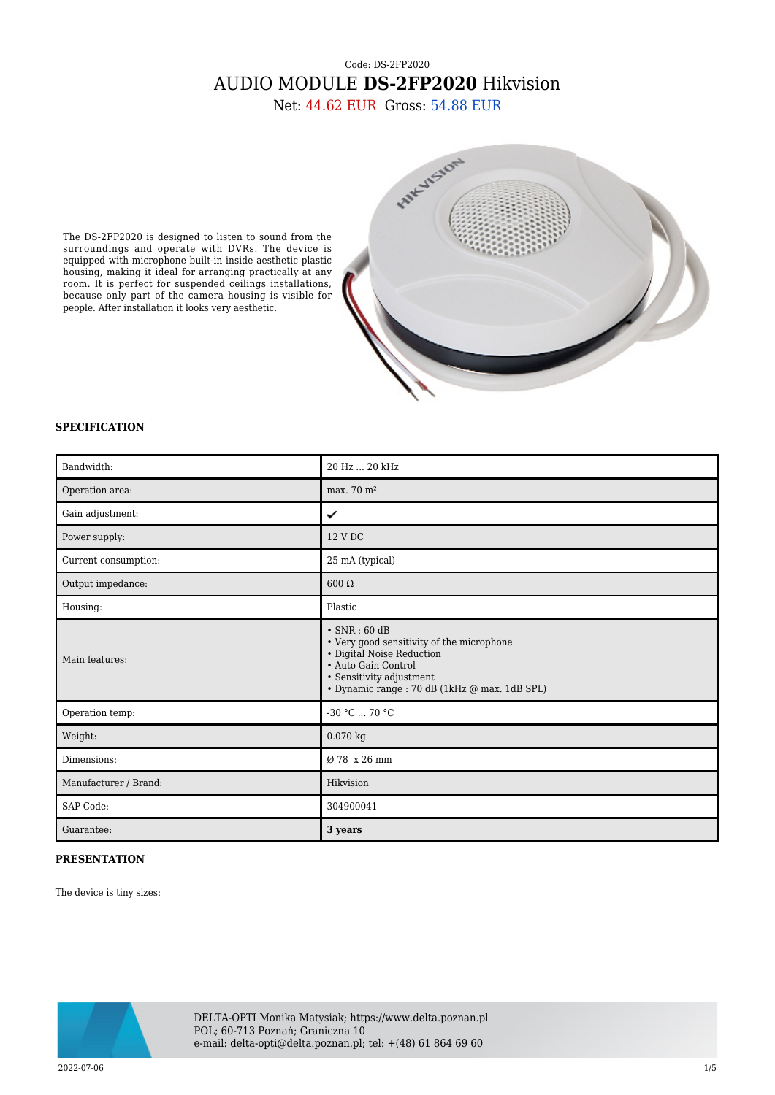## Code: DS-2FP2020 AUDIO MODULE **DS-2FP2020** Hikvision

Net: 44.62 EUR Gross: 54.88 EUR

The DS-2FP2020 is designed to listen to sound from the surroundings and operate with DVRs. The device is equipped with microphone built-in inside aesthetic plastic housing, making it ideal for arranging practically at any room. It is perfect for suspended ceilings installations, because only part of the camera housing is visible for people. After installation it looks very aesthetic.



## **SPECIFICATION**

| Bandwidth:            | 20 Hz  20 kHz                                                                                                                                                                                     |
|-----------------------|---------------------------------------------------------------------------------------------------------------------------------------------------------------------------------------------------|
| Operation area:       | max. 70 m <sup>2</sup>                                                                                                                                                                            |
| Gain adjustment:      | ✓                                                                                                                                                                                                 |
| Power supply:         | 12 V DC                                                                                                                                                                                           |
| Current consumption:  | 25 mA (typical)                                                                                                                                                                                   |
| Output impedance:     | $600 \Omega$                                                                                                                                                                                      |
| Housing:              | Plastic                                                                                                                                                                                           |
| Main features:        | $\cdot$ SNR : 60 dB<br>• Very good sensitivity of the microphone<br>• Digital Noise Reduction<br>· Auto Gain Control<br>• Sensitivity adjustment<br>· Dynamic range : 70 dB (1kHz @ max. 1dB SPL) |
| Operation temp:       | -30 °C  70 °C                                                                                                                                                                                     |
| Weight:               | $0.070$ kg                                                                                                                                                                                        |
| Dimensions:           | Ø 78 x 26 mm                                                                                                                                                                                      |
| Manufacturer / Brand: | Hikvision                                                                                                                                                                                         |
| SAP Code:             | 304900041                                                                                                                                                                                         |
| Guarantee:            | 3 years                                                                                                                                                                                           |

## **PRESENTATION**

The device is tiny sizes:



DELTA-OPTI Monika Matysiak; https://www.delta.poznan.pl POL; 60-713 Poznań; Graniczna 10 e-mail: delta-opti@delta.poznan.pl; tel: +(48) 61 864 69 60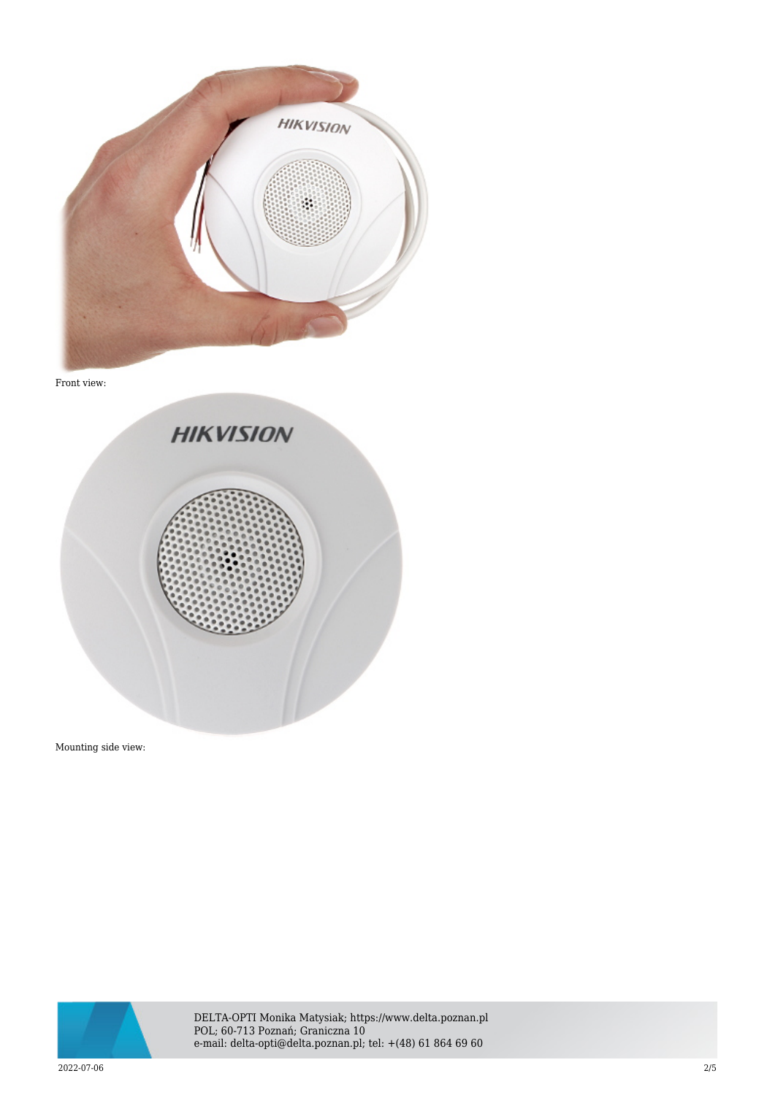

Front view:



Mounting side view:



DELTA-OPTI Monika Matysiak; https://www.delta.poznan.pl POL; 60-713 Poznań; Graniczna 10 e-mail: delta-opti@delta.poznan.pl; tel: +(48) 61 864 69 60

2022-07-06 2/5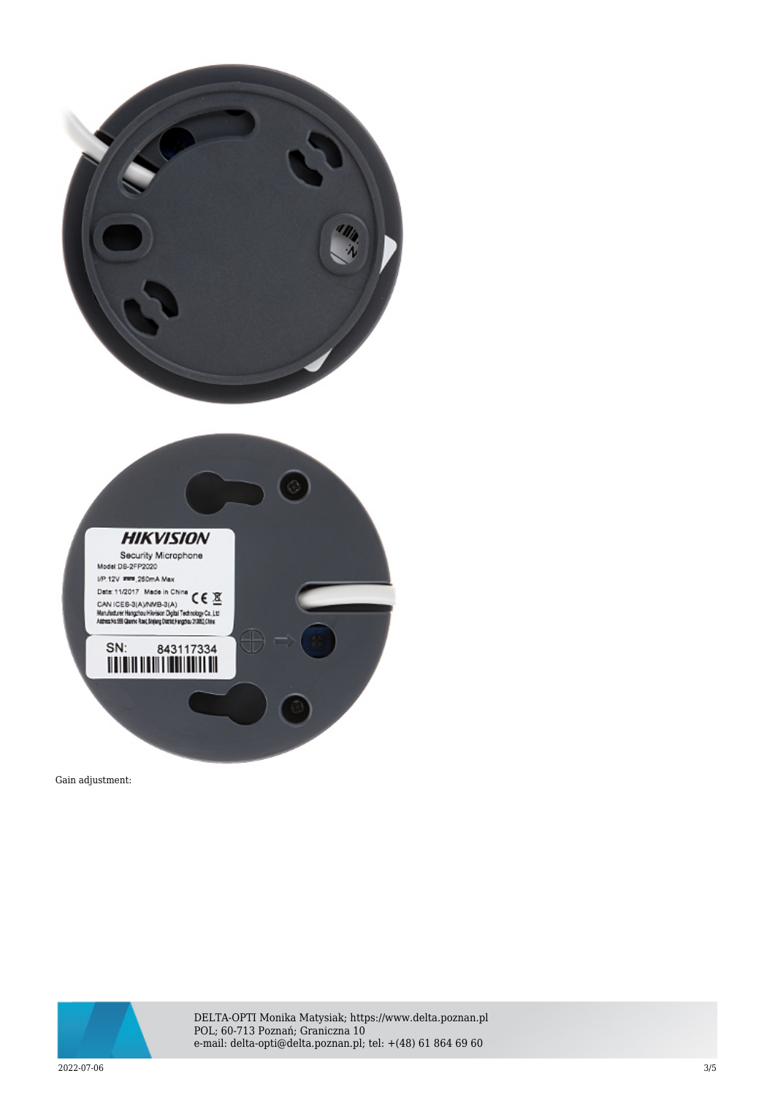

Gain adjustment:



DELTA-OPTI Monika Matysiak; https://www.delta.poznan.pl POL; 60-713 Poznań; Graniczna 10 e-mail: delta-opti@delta.poznan.pl; tel: +(48) 61 864 69 60

2022-07-06 3/5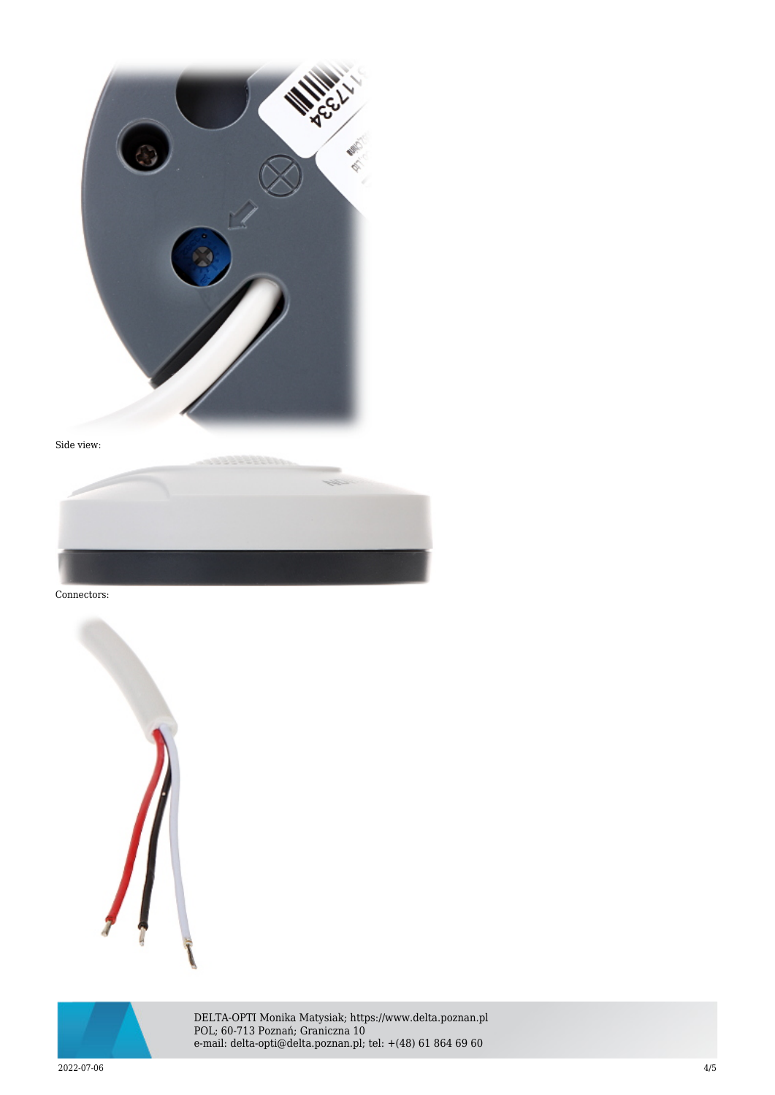



Connectors:





DELTA-OPTI Monika Matysiak; https://www.delta.poznan.pl POL; 60-713 Poznań; Graniczna 10 e-mail: delta-opti@delta.poznan.pl; tel: +(48) 61 864 69 60

2022-07-06 4/5